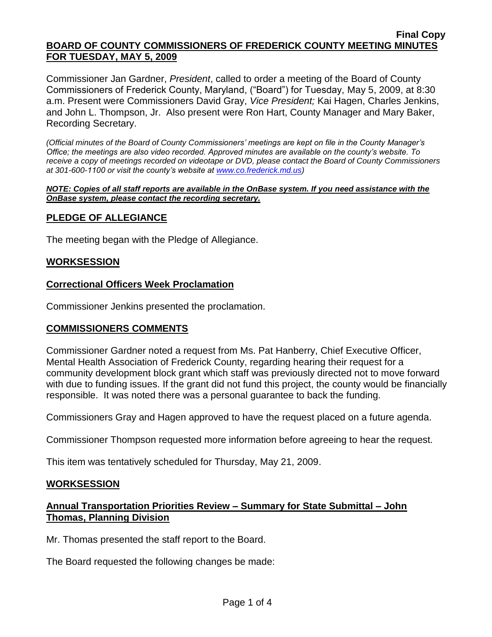#### **Final Copy BOARD OF COUNTY COMMISSIONERS OF FREDERICK COUNTY MEETING MINUTES FOR TUESDAY, MAY 5, 2009**

Commissioner Jan Gardner, *President*, called to order a meeting of the Board of County Commissioners of Frederick County, Maryland, ("Board") for Tuesday, May 5, 2009, at 8:30 a.m. Present were Commissioners David Gray, *Vice President;* Kai Hagen, Charles Jenkins, and John L. Thompson, Jr. Also present were Ron Hart, County Manager and Mary Baker, Recording Secretary.

*(Official minutes of the Board of County Commissioners' meetings are kept on file in the County Manager's Office; the meetings are also video recorded. Approved minutes are available on the county's website. To receive a copy of meetings recorded on videotape or DVD, please contact the Board of County Commissioners at 301-600-1100 or visit the county's website at [www.co.frederick.md.us\)](http://www.co.frederick.md.us/)*

#### *NOTE: Copies of all staff reports are available in the OnBase system. If you need assistance with the OnBase system, please contact the recording secretary.*

## **PLEDGE OF ALLEGIANCE**

The meeting began with the Pledge of Allegiance.

## **WORKSESSION**

## **Correctional Officers Week Proclamation**

Commissioner Jenkins presented the proclamation.

## **COMMISSIONERS COMMENTS**

Commissioner Gardner noted a request from Ms. Pat Hanberry, Chief Executive Officer, Mental Health Association of Frederick County, regarding hearing their request for a community development block grant which staff was previously directed not to move forward with due to funding issues. If the grant did not fund this project, the county would be financially responsible. It was noted there was a personal guarantee to back the funding.

Commissioners Gray and Hagen approved to have the request placed on a future agenda.

Commissioner Thompson requested more information before agreeing to hear the request.

This item was tentatively scheduled for Thursday, May 21, 2009.

## **WORKSESSION**

## **Annual Transportation Priorities Review – Summary for State Submittal – John Thomas, Planning Division**

Mr. Thomas presented the staff report to the Board.

The Board requested the following changes be made: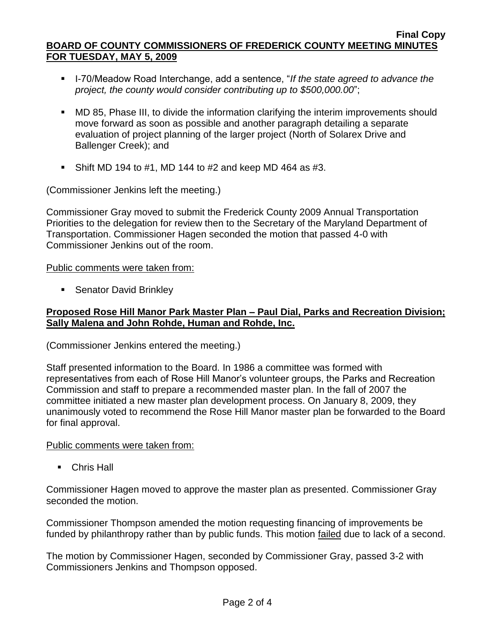#### **Final Copy BOARD OF COUNTY COMMISSIONERS OF FREDERICK COUNTY MEETING MINUTES FOR TUESDAY, MAY 5, 2009**

- 1-70/Meadow Road Interchange, add a sentence, "*If the state agreed to advance the project, the county would consider contributing up to \$500,000.00*";
- MD 85, Phase III, to divide the information clarifying the interim improvements should move forward as soon as possible and another paragraph detailing a separate evaluation of project planning of the larger project (North of Solarex Drive and Ballenger Creek); and
- Shift MD 194 to #1, MD 144 to #2 and keep MD 464 as #3.

(Commissioner Jenkins left the meeting.)

Commissioner Gray moved to submit the Frederick County 2009 Annual Transportation Priorities to the delegation for review then to the Secretary of the Maryland Department of Transportation. Commissioner Hagen seconded the motion that passed 4-0 with Commissioner Jenkins out of the room.

Public comments were taken from:

■ Senator David Brinkley

## **Proposed Rose Hill Manor Park Master Plan – Paul Dial, Parks and Recreation Division; Sally Malena and John Rohde, Human and Rohde, Inc.**

(Commissioner Jenkins entered the meeting.)

Staff presented information to the Board. In 1986 a committee was formed with representatives from each of Rose Hill Manor's volunteer groups, the Parks and Recreation Commission and staff to prepare a recommended master plan. In the fall of 2007 the committee initiated a new master plan development process. On January 8, 2009, they unanimously voted to recommend the Rose Hill Manor master plan be forwarded to the Board for final approval.

Public comments were taken from:

**Chris Hall** 

Commissioner Hagen moved to approve the master plan as presented. Commissioner Gray seconded the motion.

Commissioner Thompson amended the motion requesting financing of improvements be funded by philanthropy rather than by public funds. This motion failed due to lack of a second.

The motion by Commissioner Hagen, seconded by Commissioner Gray, passed 3-2 with Commissioners Jenkins and Thompson opposed.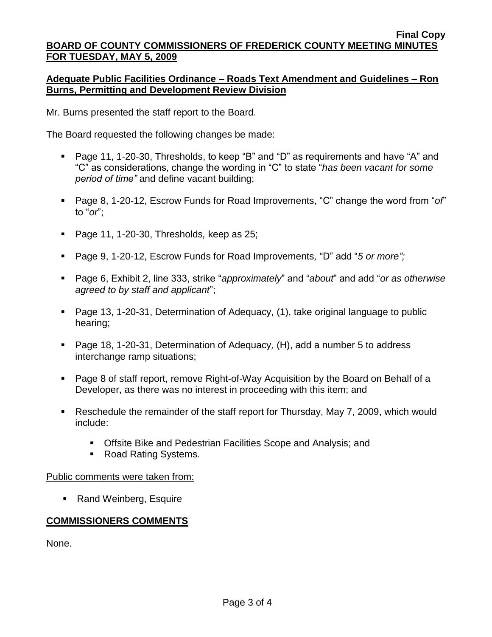## **Adequate Public Facilities Ordinance – Roads Text Amendment and Guidelines – Ron Burns, Permitting and Development Review Division**

Mr. Burns presented the staff report to the Board.

The Board requested the following changes be made:

- Page 11, 1-20-30, Thresholds, to keep "B" and "D" as requirements and have "A" and "C" as considerations, change the wording in "C" to state "*has been vacant for some period of time"* and define vacant building;
- Page 8, 1-20-12, Escrow Funds for Road Improvements, "C" change the word from "*of*" to "*or*";
- Page 11, 1-20-30, Thresholds*,* keep as 25;
- Page 9, 1-20-12, Escrow Funds for Road Improvements*,* "D" add "*5 or more";*
- Page 6, Exhibit 2, line 333, strike "*approximately*" and "*about*" and add "*or as otherwise agreed to by staff and applicant*";
- Page 13, 1-20-31, Determination of Adequacy, (1), take original language to public hearing;
- Page 18, 1-20-31, Determination of Adequacy*,* (H), add a number 5 to address interchange ramp situations;
- Page 8 of staff report, remove Right-of-Way Acquisition by the Board on Behalf of a Developer, as there was no interest in proceeding with this item; and
- Reschedule the remainder of the staff report for Thursday, May 7, 2009, which would include:
	- **Offsite Bike and Pedestrian Facilities Scope and Analysis; and**
	- Road Rating Systems*.*

Public comments were taken from:

■ Rand Weinberg, Esquire

# **COMMISSIONERS COMMENTS**

None.